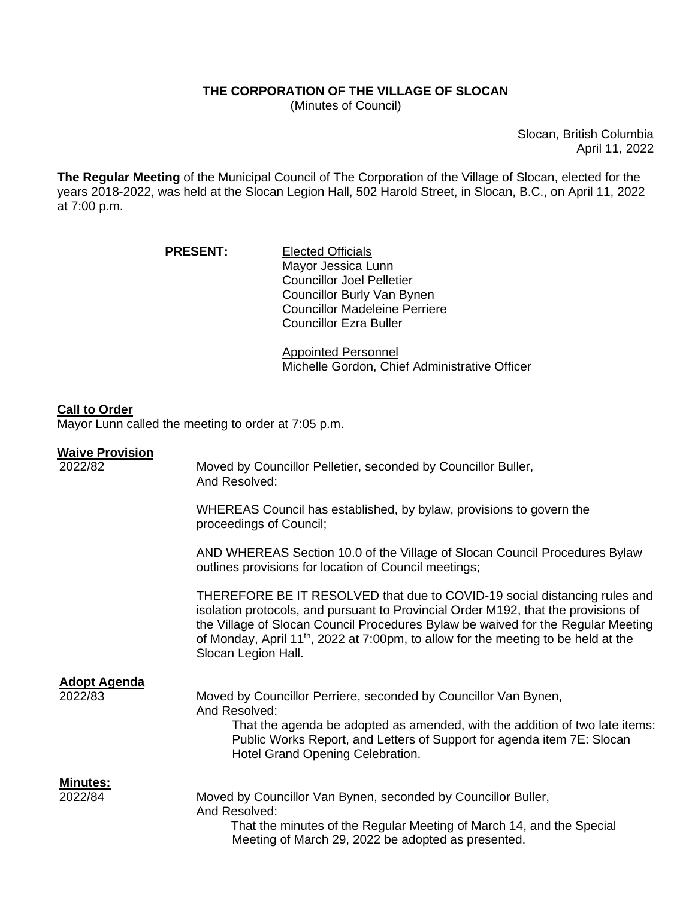# **THE CORPORATION OF THE VILLAGE OF SLOCAN**

(Minutes of Council)

Slocan, British Columbia April 11, 2022

**The Regular Meeting** of the Municipal Council of The Corporation of the Village of Slocan, elected for the years 2018-2022, was held at the Slocan Legion Hall, 502 Harold Street, in Slocan, B.C., on April 11, 2022 at 7:00 p.m.

| <b>PRESENT:</b> | <b>Elected Officials</b>             |
|-----------------|--------------------------------------|
|                 | Mayor Jessica Lunn                   |
|                 | <b>Councillor Joel Pelletier</b>     |
|                 | Councillor Burly Van Bynen           |
|                 | <b>Councillor Madeleine Perriere</b> |
|                 | <b>Councillor Ezra Buller</b>        |

Appointed Personnel Michelle Gordon, Chief Administrative Officer

#### **Call to Order**

Mayor Lunn called the meeting to order at 7:05 p.m.

#### **Waive Provision**

| 2022/82                        | Moved by Councillor Pelletier, seconded by Councillor Buller,<br>And Resolved:                                                                                                                                                                                                                                                                                               |
|--------------------------------|------------------------------------------------------------------------------------------------------------------------------------------------------------------------------------------------------------------------------------------------------------------------------------------------------------------------------------------------------------------------------|
|                                | WHEREAS Council has established, by bylaw, provisions to govern the<br>proceedings of Council;                                                                                                                                                                                                                                                                               |
|                                | AND WHEREAS Section 10.0 of the Village of Slocan Council Procedures Bylaw<br>outlines provisions for location of Council meetings;                                                                                                                                                                                                                                          |
|                                | THEREFORE BE IT RESOLVED that due to COVID-19 social distancing rules and<br>isolation protocols, and pursuant to Provincial Order M192, that the provisions of<br>the Village of Slocan Council Procedures Bylaw be waived for the Regular Meeting<br>of Monday, April 11 <sup>th</sup> , 2022 at 7:00pm, to allow for the meeting to be held at the<br>Slocan Legion Hall. |
| <b>Adopt Agenda</b><br>2022/83 | Moved by Councillor Perriere, seconded by Councillor Van Bynen,<br>And Resolved:<br>That the agenda be adopted as amended, with the addition of two late items:<br>Public Works Report, and Letters of Support for agenda item 7E: Slocan<br>Hotel Grand Opening Celebration.                                                                                                |
| <u>Minutes:</u><br>2022/84     | Moved by Councillor Van Bynen, seconded by Councillor Buller,<br>And Resolved:<br>That the minutes of the Regular Meeting of March 14, and the Special<br>Meeting of March 29, 2022 be adopted as presented.                                                                                                                                                                 |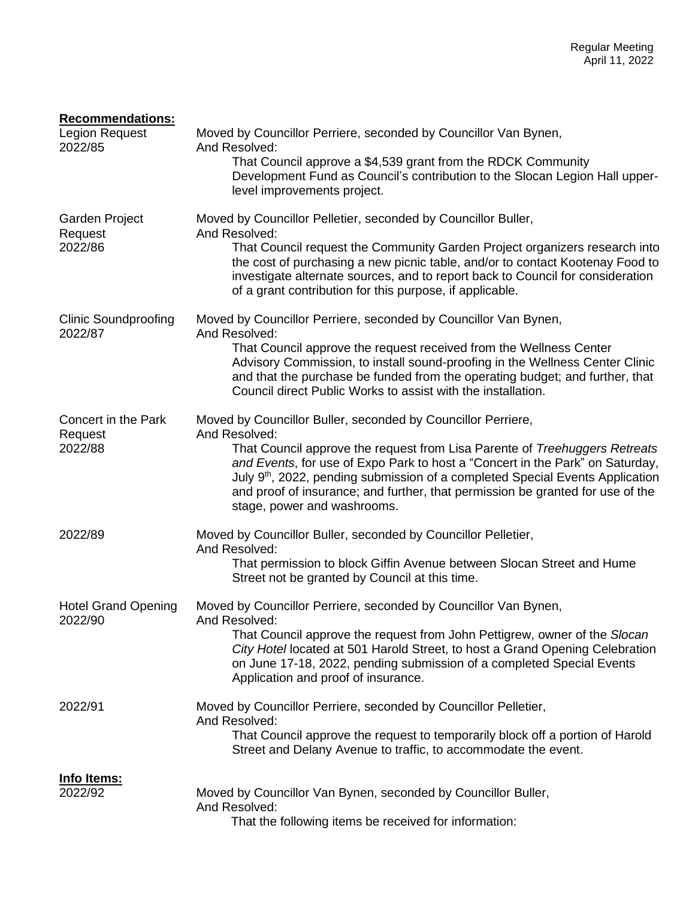| <b>Recommendations:</b><br>Legion Request<br>2022/85 | Moved by Councillor Perriere, seconded by Councillor Van Bynen,<br>And Resolved:<br>That Council approve a \$4,539 grant from the RDCK Community<br>Development Fund as Council's contribution to the Slocan Legion Hall upper-<br>level improvements project.                                                                                                                                                                                             |
|------------------------------------------------------|------------------------------------------------------------------------------------------------------------------------------------------------------------------------------------------------------------------------------------------------------------------------------------------------------------------------------------------------------------------------------------------------------------------------------------------------------------|
| Garden Project<br>Request<br>2022/86                 | Moved by Councillor Pelletier, seconded by Councillor Buller,<br>And Resolved:<br>That Council request the Community Garden Project organizers research into<br>the cost of purchasing a new picnic table, and/or to contact Kootenay Food to<br>investigate alternate sources, and to report back to Council for consideration<br>of a grant contribution for this purpose, if applicable.                                                                |
| <b>Clinic Soundproofing</b><br>2022/87               | Moved by Councillor Perriere, seconded by Councillor Van Bynen,<br>And Resolved:<br>That Council approve the request received from the Wellness Center<br>Advisory Commission, to install sound-proofing in the Wellness Center Clinic<br>and that the purchase be funded from the operating budget; and further, that<br>Council direct Public Works to assist with the installation.                                                                     |
| Concert in the Park<br>Request<br>2022/88            | Moved by Councillor Buller, seconded by Councillor Perriere,<br>And Resolved:<br>That Council approve the request from Lisa Parente of Treehuggers Retreats<br>and Events, for use of Expo Park to host a "Concert in the Park" on Saturday,<br>July 9 <sup>th</sup> , 2022, pending submission of a completed Special Events Application<br>and proof of insurance; and further, that permission be granted for use of the<br>stage, power and washrooms. |
| 2022/89                                              | Moved by Councillor Buller, seconded by Councillor Pelletier,<br>And Resolved:<br>That permission to block Giffin Avenue between Slocan Street and Hume<br>Street not be granted by Council at this time.                                                                                                                                                                                                                                                  |
| <b>Hotel Grand Opening</b><br>2022/90                | Moved by Councillor Perriere, seconded by Councillor Van Bynen,<br>And Resolved:<br>That Council approve the request from John Pettigrew, owner of the Slocan<br>City Hotel located at 501 Harold Street, to host a Grand Opening Celebration<br>on June 17-18, 2022, pending submission of a completed Special Events<br>Application and proof of insurance.                                                                                              |
| 2022/91                                              | Moved by Councillor Perriere, seconded by Councillor Pelletier,<br>And Resolved:<br>That Council approve the request to temporarily block off a portion of Harold<br>Street and Delany Avenue to traffic, to accommodate the event.                                                                                                                                                                                                                        |
| <u>Info Items:</u><br>2022/92                        | Moved by Councillor Van Bynen, seconded by Councillor Buller,<br>And Resolved:<br>That the following items be received for information:                                                                                                                                                                                                                                                                                                                    |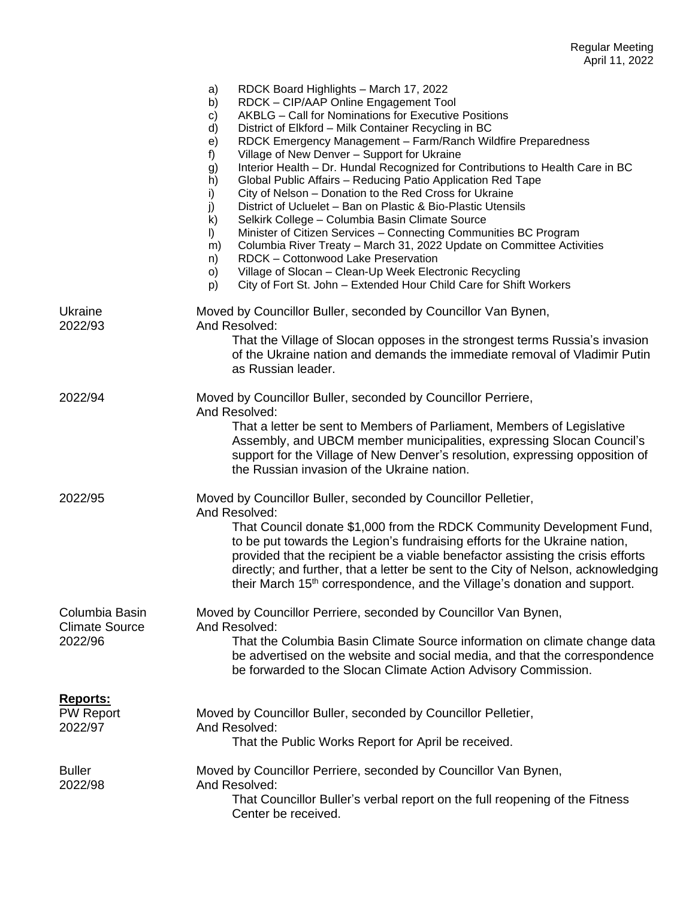|                                                    | RDCK Board Highlights - March 17, 2022<br>a)<br>RDCK - CIP/AAP Online Engagement Tool<br>b)<br>AKBLG - Call for Nominations for Executive Positions<br>c)<br>d)<br>District of Elkford - Milk Container Recycling in BC<br>RDCK Emergency Management - Farm/Ranch Wildfire Preparedness<br>e)<br>Village of New Denver - Support for Ukraine<br>f)<br>Interior Health - Dr. Hundal Recognized for Contributions to Health Care in BC<br>g)<br>h)<br>Global Public Affairs - Reducing Patio Application Red Tape<br>City of Nelson - Donation to the Red Cross for Ukraine<br>i)<br>District of Ucluelet - Ban on Plastic & Bio-Plastic Utensils<br>j)<br>Selkirk College - Columbia Basin Climate Source<br>k)<br>Minister of Citizen Services - Connecting Communities BC Program<br>$\vert$<br>Columbia River Treaty - March 31, 2022 Update on Committee Activities<br>m)<br>RDCK - Cottonwood Lake Preservation<br>n)<br>Village of Slocan - Clean-Up Week Electronic Recycling<br>O)<br>City of Fort St. John - Extended Hour Child Care for Shift Workers<br>p) |
|----------------------------------------------------|-----------------------------------------------------------------------------------------------------------------------------------------------------------------------------------------------------------------------------------------------------------------------------------------------------------------------------------------------------------------------------------------------------------------------------------------------------------------------------------------------------------------------------------------------------------------------------------------------------------------------------------------------------------------------------------------------------------------------------------------------------------------------------------------------------------------------------------------------------------------------------------------------------------------------------------------------------------------------------------------------------------------------------------------------------------------------|
| Ukraine<br>2022/93                                 | Moved by Councillor Buller, seconded by Councillor Van Bynen,<br>And Resolved:<br>That the Village of Slocan opposes in the strongest terms Russia's invasion<br>of the Ukraine nation and demands the immediate removal of Vladimir Putin<br>as Russian leader.                                                                                                                                                                                                                                                                                                                                                                                                                                                                                                                                                                                                                                                                                                                                                                                                      |
| 2022/94                                            | Moved by Councillor Buller, seconded by Councillor Perriere,<br>And Resolved:<br>That a letter be sent to Members of Parliament, Members of Legislative<br>Assembly, and UBCM member municipalities, expressing Slocan Council's<br>support for the Village of New Denver's resolution, expressing opposition of<br>the Russian invasion of the Ukraine nation.                                                                                                                                                                                                                                                                                                                                                                                                                                                                                                                                                                                                                                                                                                       |
| 2022/95                                            | Moved by Councillor Buller, seconded by Councillor Pelletier,<br>And Resolved:<br>That Council donate \$1,000 from the RDCK Community Development Fund,<br>to be put towards the Legion's fundraising efforts for the Ukraine nation,<br>provided that the recipient be a viable benefactor assisting the crisis efforts<br>directly; and further, that a letter be sent to the City of Nelson, acknowledging<br>their March 15 <sup>th</sup> correspondence, and the Village's donation and support.                                                                                                                                                                                                                                                                                                                                                                                                                                                                                                                                                                 |
| Columbia Basin<br><b>Climate Source</b><br>2022/96 | Moved by Councillor Perriere, seconded by Councillor Van Bynen,<br>And Resolved:<br>That the Columbia Basin Climate Source information on climate change data<br>be advertised on the website and social media, and that the correspondence<br>be forwarded to the Slocan Climate Action Advisory Commission.                                                                                                                                                                                                                                                                                                                                                                                                                                                                                                                                                                                                                                                                                                                                                         |
| <u>Reports:</u><br><b>PW Report</b><br>2022/97     | Moved by Councillor Buller, seconded by Councillor Pelletier,<br>And Resolved:<br>That the Public Works Report for April be received.                                                                                                                                                                                                                                                                                                                                                                                                                                                                                                                                                                                                                                                                                                                                                                                                                                                                                                                                 |
| <b>Buller</b><br>2022/98                           | Moved by Councillor Perriere, seconded by Councillor Van Bynen,<br>And Resolved:<br>That Councillor Buller's verbal report on the full reopening of the Fitness<br>Center be received.                                                                                                                                                                                                                                                                                                                                                                                                                                                                                                                                                                                                                                                                                                                                                                                                                                                                                |